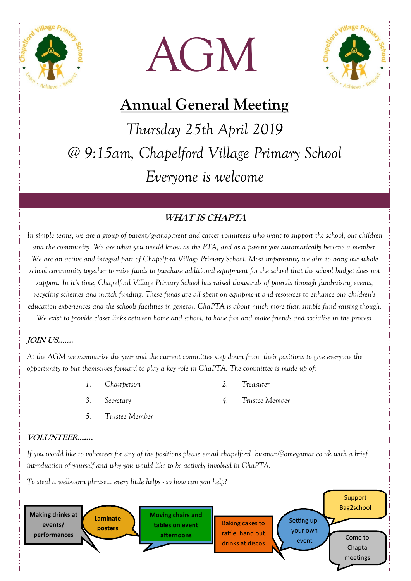





# **Annual General Meeting**

*Thursday 25th April 2019 @ 9:15am, Chapelford Village Primary School Everyone is welcome* 

## **WHAT IS CHAPTA**

*In simple terms, we are a group of parent/grandparent and career volunteers who want to support the school, our children and the community. We are what you would know as the PTA, and as a parent you automatically become a member. We are an active and integral part of Chapelford Village Primary School. Most importantly we aim to bring our whole school community together to raise funds to purchase additional equipment for the school that the school budget does not support. In it's time, Chapelford Village Primary School has raised thousands of pounds through fundraising events, recycling schemes and match funding. These funds are all spent on equipment and resources to enhance our children's education experiences and the schools facilities in general. ChaPTA is about much more than simple fund raising though. We exist to provide closer links between home and school, to have fun and make friends and socialise in the process.*

## **JOIN US…….**

*At the AGM we summarise the year and the current committee step down from their positions to give everyone the opportunity to put themselves forward to play a key role in ChaPTA. The committee is made up of:* 

- *1. Chairperson 2. Treasurer* 
	-

- 
- *3. Secretary 4. Trustee Member*
- *5. Trustee Member*

### **VOLUNTEER…….**

*If you would like to volunteer for any of the positions please email chapelford\_busman@omegamat.co.uk with a brief introduction of yourself and why you would like to be actively involved in ChaPTA.*

*To steal a well-worn phrase… every little helps - so how can you help?*